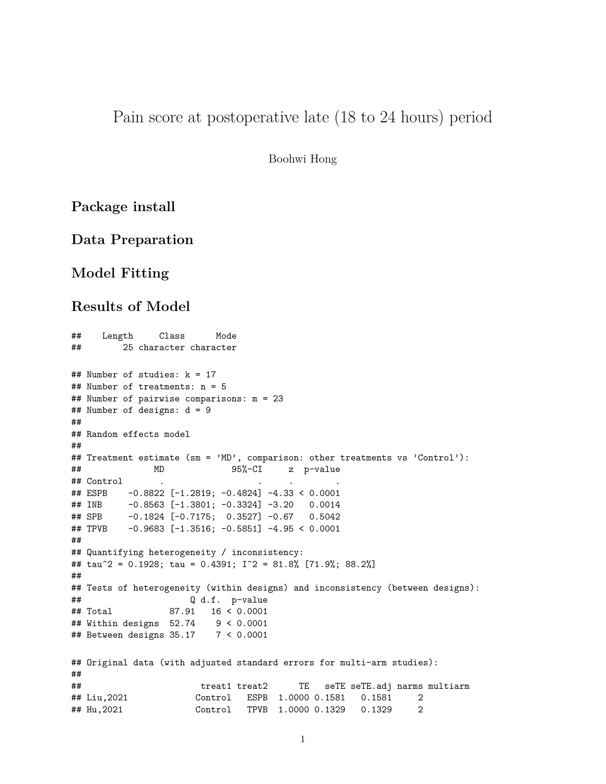## Pain score at postoperative late (18 to 24 hours) period

Boohwi Hong

## **Package install**

### **Data Preparation**

## **Model Fitting**

### **Results of Model**

```
## Length Class Mode
## 25 character character
## Number of studies: k = 17
## Number of treatments: n = 5
## Number of pairwise comparisons: m = 23
## Number of designs: d = 9
##
## Random effects model
##
## Treatment estimate (sm = 'MD', comparison: other treatments vs 'Control'):
## MD 95%-CI z p-value
## Control . . . .
## ESPB -0.8822 [-1.2819; -0.4824] -4.33 < 0.0001
## INB -0.8563 [-1.3801; -0.3324] -3.20 0.0014
## SPB -0.1824 [-0.7175; 0.3527] -0.67 0.5042
## TPVB -0.9683 [-1.3516; -0.5851] -4.95 < 0.0001
##
## Quantifying heterogeneity / inconsistency:
## tau^2 = 0.1928; tau = 0.4391; I^2 = 81.8% [71.9%; 88.2%]
##
## Tests of heterogeneity (within designs) and inconsistency (between designs):
## Q d.f. p-value
## Total 87.91 16 < 0.0001
## Within designs 52.74 9 < 0.0001
## Between designs 35.17 7 < 0.0001
## Original data (with adjusted standard errors for multi-arm studies):
##
## treat1 treat2 TE seTE seTE.adj narms multiarm
## Liu,2021 Control ESPB 1.0000 0.1581 0.1581 2
## Hu,2021 Control TPVB 1.0000 0.1329 0.1329 2
```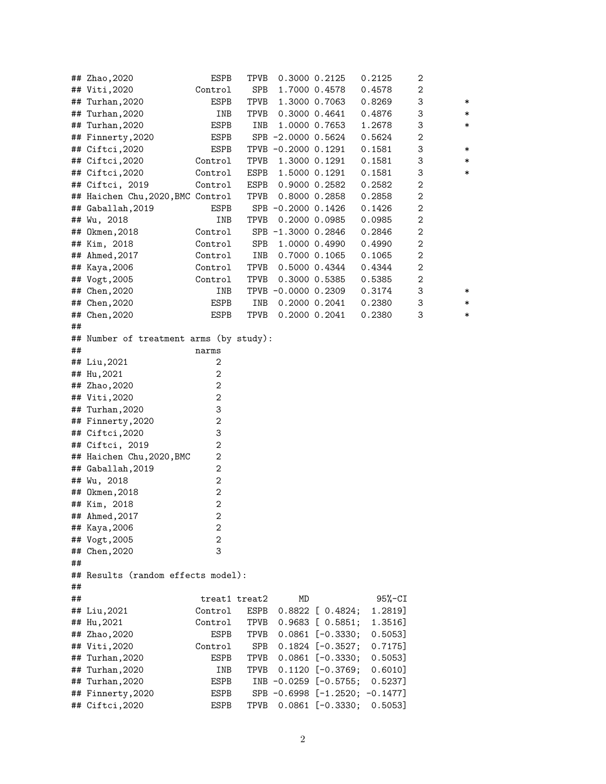|    | ## Zhao, 2020                           | ESPB                  | TPVB |                     | 0.3000 0.2125             | 0.2125                         | 2                |        |
|----|-----------------------------------------|-----------------------|------|---------------------|---------------------------|--------------------------------|------------------|--------|
|    | ## Viti, 2020                           | Control               | SPB  |                     | 1.7000 0.4578             | 0.4578                         | 2                |        |
| ## | Turhan, 2020                            | ESPB                  | TPVB |                     | 1.3000 0.7063             | 0.8269                         | 3                | ∗      |
| ## | Turhan, 2020                            | INB                   | TPVB |                     | 0.3000 0.4641             | 0.4876                         | 3                | ∗      |
|    | ## Turhan, 2020                         | ESPB                  | INB  |                     | 1.0000 0.7653             | 1.2678                         | 3                | ∗      |
|    | ## Finnerty, 2020                       | ESPB                  |      | SPB -2.0000 0.5624  |                           | 0.5624                         | $\boldsymbol{2}$ |        |
|    | ## Ciftci, 2020                         | ESPB                  |      | TPVB -0.2000 0.1291 |                           | 0.1581                         | 3                | ∗      |
|    | ## Ciftci, 2020                         | Control               | TPVB |                     | 1.3000 0.1291             | 0.1581                         | 3                | ∗      |
|    | ## Ciftci, 2020                         | Control               | ESPB |                     | 1.5000 0.1291             | 0.1581                         | 3                | $\ast$ |
|    | ## Ciftci, 2019                         | Control               | ESPB |                     | $0.9000$ $0.2582$         | 0.2582                         | $\boldsymbol{2}$ |        |
|    | ## Haichen Chu, 2020, BMC Control       |                       | TPVB |                     | 0.8000 0.2858             | 0.2858                         | $\boldsymbol{2}$ |        |
|    | ## Gaballah, 2019                       | ESPB                  |      | SPB -0.2000 0.1426  |                           | 0.1426                         | $\boldsymbol{2}$ |        |
|    | ## Wu, 2018                             | INB                   | TPVB |                     | 0.2000 0.0985             | 0.0985                         | $\boldsymbol{2}$ |        |
|    | ## 0kmen, 2018                          | Control               |      | SPB -1.3000 0.2846  |                           | 0.2846                         | $\boldsymbol{2}$ |        |
|    | ## Kim, 2018                            | Control               | SPB  |                     | 1.0000 0.4990             | 0.4990                         | $\boldsymbol{2}$ |        |
|    | ## Ahmed, 2017                          | Control               | INB  |                     | 0.7000 0.1065             | 0.1065                         | $\boldsymbol{2}$ |        |
|    | ## Kaya, 2006                           | Control               | TPVB |                     | 0.5000 0.4344             | 0.4344                         | $\boldsymbol{2}$ |        |
|    | ## Vogt, 2005                           | Control               | TPVB |                     | 0.3000 0.5385             | 0.5385                         | $\boldsymbol{2}$ |        |
|    | ## Chen, 2020                           | INB                   |      | TPVB -0.0000 0.2309 |                           | 0.3174                         | 3                | ∗      |
|    | ## Chen, 2020                           | ESPB                  | INB  |                     | 0.2000 0.2041             | 0.2380                         | 3                | ∗      |
|    | ## Chen, 2020                           | ESPB                  | TPVB |                     | 0.2000 0.2041             | 0.2380                         | 3                | $\ast$ |
| ## |                                         |                       |      |                     |                           |                                |                  |        |
|    | ## Number of treatment arms (by study): |                       |      |                     |                           |                                |                  |        |
| ## |                                         | narms                 |      |                     |                           |                                |                  |        |
|    | ## Liu,2021                             | 2                     |      |                     |                           |                                |                  |        |
|    | ## Hu, 2021                             | $\boldsymbol{2}$      |      |                     |                           |                                |                  |        |
|    | ## Zhao, 2020                           | $\boldsymbol{2}$      |      |                     |                           |                                |                  |        |
|    | ## Viti, 2020                           | $\boldsymbol{2}$      |      |                     |                           |                                |                  |        |
|    | ## Turhan, 2020                         | 3                     |      |                     |                           |                                |                  |        |
|    | ## Finnerty, 2020<br>## Ciftci, 2020    | $\boldsymbol{2}$<br>3 |      |                     |                           |                                |                  |        |
|    | ## Ciftci, 2019                         | $\mathbf{2}$          |      |                     |                           |                                |                  |        |
|    | ## Haichen Chu, 2020, BMC               | $\boldsymbol{2}$      |      |                     |                           |                                |                  |        |
|    | ## Gaballah, 2019                       | $\boldsymbol{2}$      |      |                     |                           |                                |                  |        |
|    | ## Wu, 2018                             | $\boldsymbol{2}$      |      |                     |                           |                                |                  |        |
|    | ## Okmen, 2018                          | $\boldsymbol{2}$      |      |                     |                           |                                |                  |        |
|    | ## Kim, 2018                            | $\boldsymbol{2}$      |      |                     |                           |                                |                  |        |
|    | ## Ahmed, 2017                          | $\overline{c}$        |      |                     |                           |                                |                  |        |
|    | ## Kaya, 2006                           | 2                     |      |                     |                           |                                |                  |        |
|    | ## Vogt, 2005                           | $\boldsymbol{2}$      |      |                     |                           |                                |                  |        |
|    | ## Chen, 2020                           | 3                     |      |                     |                           |                                |                  |        |
| ## |                                         |                       |      |                     |                           |                                |                  |        |
|    | ## Results (random effects model):      |                       |      |                     |                           |                                |                  |        |
| ## |                                         |                       |      |                     |                           |                                |                  |        |
| ## |                                         | treat1 treat2         |      | MD                  |                           | $95% - CI$                     |                  |        |
|    | ## Liu,2021                             | Control               | ESPB | 0.8822              | [0.4824;                  | 1.2819]                        |                  |        |
|    | ## Hu,2021                              | Control               | TPVB |                     | $0.9683$ [ $0.5851;$      | 1.3516]                        |                  |        |
|    | ## Zhao, 2020                           | ESPB                  | TPVB |                     | $0.0861$ $[-0.3330;$      | 0.5053]                        |                  |        |
|    | ## Viti,2020                            | Control               | SPB  |                     | $0.1824$ $[-0.3527;$      | 0.7175]                        |                  |        |
| ## | Turhan,2020                             | ESPB                  | TPVB |                     | $0.0861$ $[-0.3330;$      | 0.5053]                        |                  |        |
| ## | Turhan,2020                             | INB                   | TPVB |                     | $0.1120$ [-0.3769;        | 0.6010]                        |                  |        |
| ## | Turhan,2020                             | ESPB                  |      |                     | INB $-0.0259$ $[-0.5755;$ | 0.5237]                        |                  |        |
|    | ## Finnerty, 2020                       | ESPB                  |      |                     |                           | SPB -0.6998 [-1.2520; -0.1477] |                  |        |
|    | ## Ciftci,2020                          | ESPB                  | TPVB |                     | $0.0861$ $[-0.3330;$      | 0.5053]                        |                  |        |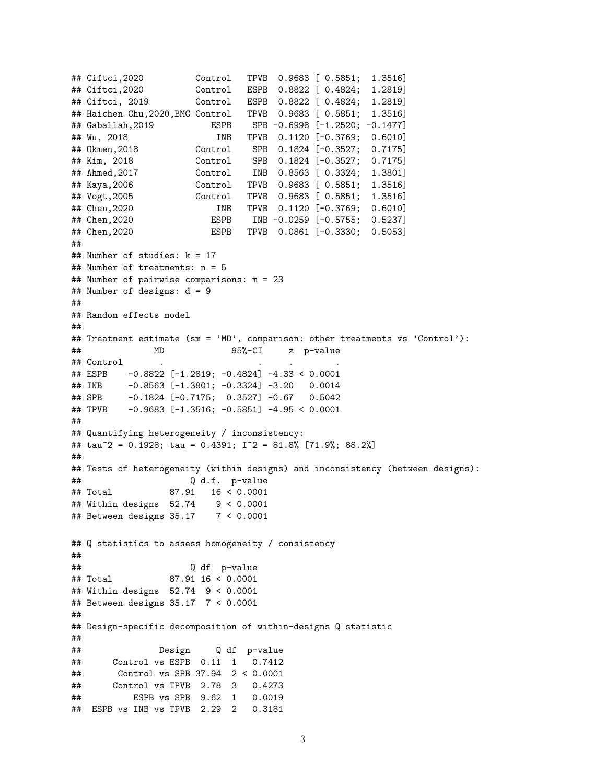```
## Ciftci,2020 Control TPVB 0.9683 [ 0.5851; 1.3516]
## Ciftci,2020 Control ESPB 0.8822 [ 0.4824; 1.2819]
## Ciftci, 2019 Control ESPB 0.8822 [ 0.4824; 1.2819]
## Haichen Chu,2020,BMC Control TPVB 0.9683 [ 0.5851; 1.3516]
## Gaballah,2019 ESPB SPB -0.6998 [-1.2520; -0.1477]
## Wu, 2018 INB TPVB 0.1120 [-0.3769; 0.6010]
## Okmen,2018 Control SPB 0.1824 [-0.3527; 0.7175]
## Kim, 2018 Control SPB 0.1824 [-0.3527; 0.7175]
## Ahmed,2017 Control INB 0.8563 [ 0.3324; 1.3801]
## Kaya,2006 Control TPVB 0.9683 [ 0.5851; 1.3516]
## Vogt,2005 Control TPVB 0.9683 [ 0.5851; 1.3516]
## Chen,2020 INB TPVB 0.1120 [-0.3769; 0.6010]
## Chen,2020 ESPB INB -0.0259 [-0.5755; 0.5237]
## Chen,2020 ESPB TPVB 0.0861 [-0.3330; 0.5053]
##
## Number of studies: k = 17
## Number of treatments: n = 5
## Number of pairwise comparisons: m = 23
## Number of designs: d = 9
##
## Random effects model
##
## Treatment estimate (sm = 'MD', comparison: other treatments vs 'Control'):
## MD 95%-CI z p-value
## Control
## ESPB -0.8822 [-1.2819; -0.4824] -4.33 < 0.0001
## INB -0.8563 [-1.3801; -0.3324] -3.20 0.0014
## SPB -0.1824 [-0.7175; 0.3527] -0.67 0.5042
## TPVB -0.9683 [-1.3516; -0.5851] -4.95 < 0.0001
##
## Quantifying heterogeneity / inconsistency:
## tau^2 = 0.1928; tau = 0.4391; I^2 = 81.8% [71.9%; 88.2%]
##
## Tests of heterogeneity (within designs) and inconsistency (between designs):
## Q d.f. p-value
## Total 87.91 16 < 0.0001
## Within designs 52.74 9 < 0.0001
## Between designs 35.17 7 < 0.0001
## Q statistics to assess homogeneity / consistency
##
## Q df p-value
## Total 87.91 16 < 0.0001
## Within designs 52.74 9 < 0.0001
## Between designs 35.17 7 < 0.0001
##
## Design-specific decomposition of within-designs Q statistic
##
## Design Q df p-value
## Control vs ESPB 0.11 1 0.7412
## Control vs SPB 37.94 2 < 0.0001
## Control vs TPVB 2.78 3 0.4273
## ESPB vs SPB 9.62 1 0.0019
## ESPB vs INB vs TPVB 2.29 2 0.3181
```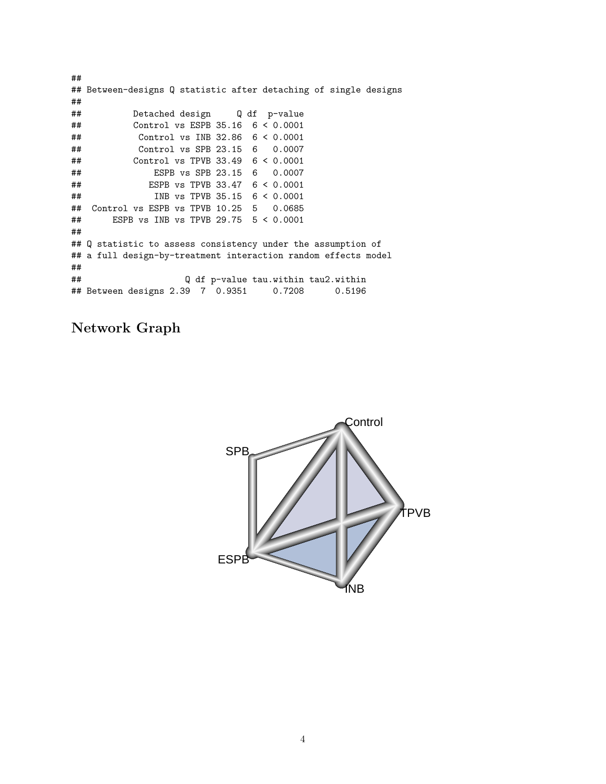```
##
## Between-designs Q statistic after detaching of single designs
##
## Detached design Q df p-value
## Control vs ESPB 35.16 6 < 0.0001
## Control vs INB 32.86 6 < 0.0001
## Control vs SPB 23.15 6 0.0007
## Control vs TPVB 33.49 6 < 0.0001
## ESPB vs SPB 23.15 6 0.0007
## ESPB vs TPVB 33.47 6 < 0.0001
## INB vs TPVB 35.15 6 < 0.0001
## Control vs ESPB vs TPVB 10.25 5 0.0685
## ESPB vs INB vs TPVB 29.75 5 < 0.0001
##
## Q statistic to assess consistency under the assumption of
## a full design-by-treatment interaction random effects model
##
## Q df p-value tau.within tau2.within
## Between designs 2.39 7 0.9351 0.7208 0.5196
```
## **Network Graph**

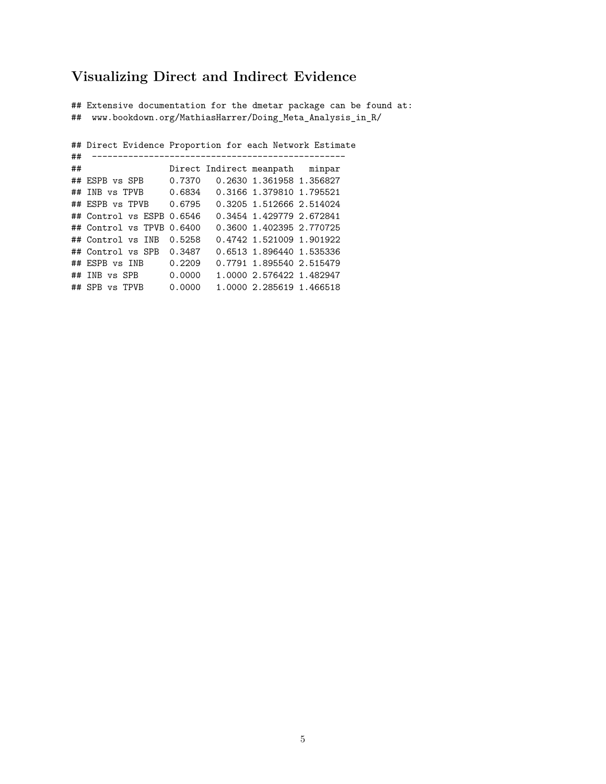## **Visualizing Direct and Indirect Evidence**

## Extensive documentation for the dmetar package can be found at: ## www.bookdown.org/MathiasHarrer/Doing\_Meta\_Analysis\_in\_R/

## Direct Evidence Proportion for each Network Estimate ## ------------------------------------------------- Direct Indirect meanpath minpar ## ESPB vs SPB 0.7370 0.2630 1.361958 1.356827 ## INB vs TPVB 0.6834 0.3166 1.379810 1.795521 ## ESPB vs TPVB 0.6795 0.3205 1.512666 2.514024 ## Control vs ESPB 0.6546 0.3454 1.429779 2.672841 ## Control vs TPVB 0.6400 0.3600 1.402395 2.770725 ## Control vs INB 0.5258 0.4742 1.521009 1.901922 ## Control vs SPB 0.3487 0.6513 1.896440 1.535336 ## ESPB vs INB 0.2209 0.7791 1.895540 2.515479 ## INB vs SPB 0.0000 1.0000 2.576422 1.482947 ## SPB vs TPVB 0.0000 1.0000 2.285619 1.466518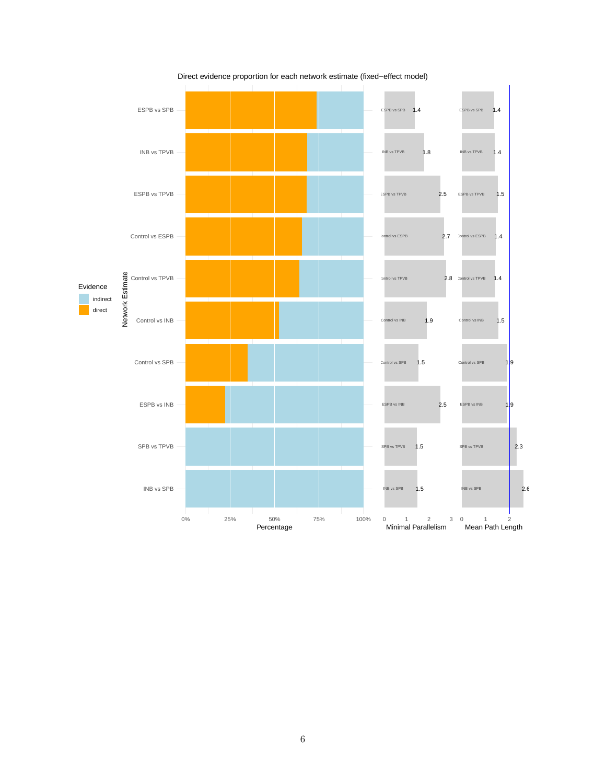

Direct evidence proportion for each network estimate (fixed−effect model)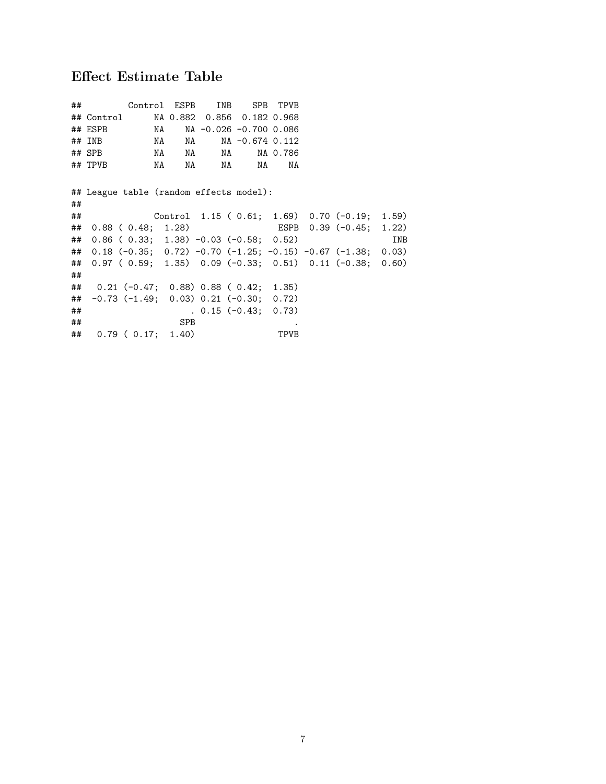# **Effect Estimate Table**

|    | ## Control ESPB INB SPB TPVB                                    |                                                            |                     |      |                         |     |
|----|-----------------------------------------------------------------|------------------------------------------------------------|---------------------|------|-------------------------|-----|
|    | ## Control MA 0.882 0.856 0.182 0.968                           |                                                            |                     |      |                         |     |
|    | ## ESPB                                                         | NA NA -0.026 -0.700 0.086                                  |                     |      |                         |     |
|    | $\#$ # INB                                                      | NA NA NA -0.674 0.112                                      |                     |      |                         |     |
|    | $\#$ #SPB                                                       |                                                            |                     |      |                         |     |
|    | ## TPVB                                                         | NA NA NA NA                                                |                     | NA   |                         |     |
|    |                                                                 |                                                            |                     |      |                         |     |
|    | ## League table (random effects model):                         |                                                            |                     |      |                         |     |
| ## |                                                                 |                                                            |                     |      |                         |     |
| ## |                                                                 | Control $1.15$ ( $0.61$ ; $1.69$ ) $0.70$ (-0.19; $1.59$ ) |                     |      |                         |     |
| ## | $0.88$ ( $0.48;$ 1.28)                                          |                                                            |                     |      | ESPB 0.39 (-0.45; 1.22) |     |
| ## | $0.86$ ( $0.33$ ; 1.38) -0.03 (-0.58; 0.52)                     |                                                            |                     |      |                         | INB |
| ## | $0.18$ (-0.35; 0.72) -0.70 (-1.25; -0.15) -0.67 (-1.38; 0.03)   |                                                            |                     |      |                         |     |
| ## | $0.97$ ( $0.59$ ; 1.35) $0.09$ (-0.33; 0.51) 0.11 (-0.38; 0.60) |                                                            |                     |      |                         |     |
| ## |                                                                 |                                                            |                     |      |                         |     |
|    | ## 0.21 (-0.47; 0.88) 0.88 (0.42; 1.35)                         |                                                            |                     |      |                         |     |
|    | $\#$ $-0.73$ (-1.49; 0.03) 0.21 (-0.30; 0.72)                   |                                                            |                     |      |                         |     |
| ## |                                                                 |                                                            | $0.15(-0.43; 0.73)$ |      |                         |     |
| ## |                                                                 | SPB                                                        |                     |      |                         |     |
|    | ## 0.79 (0.17; 1.40)                                            |                                                            |                     | TPVB |                         |     |
|    |                                                                 |                                                            |                     |      |                         |     |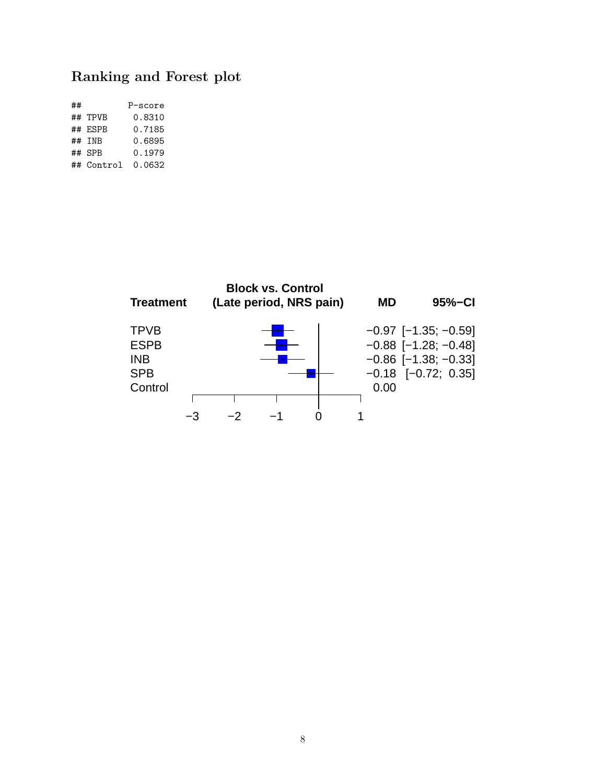# **Ranking and Forest plot**

| ## |            | P-score |
|----|------------|---------|
|    | ## TPVB    | 0.8310  |
|    | ## ESPB    | 0.7185  |
|    | ## TNB     | 0.6895  |
|    | ## SPR     | 0.1979  |
|    | ## Control | 0.0632  |

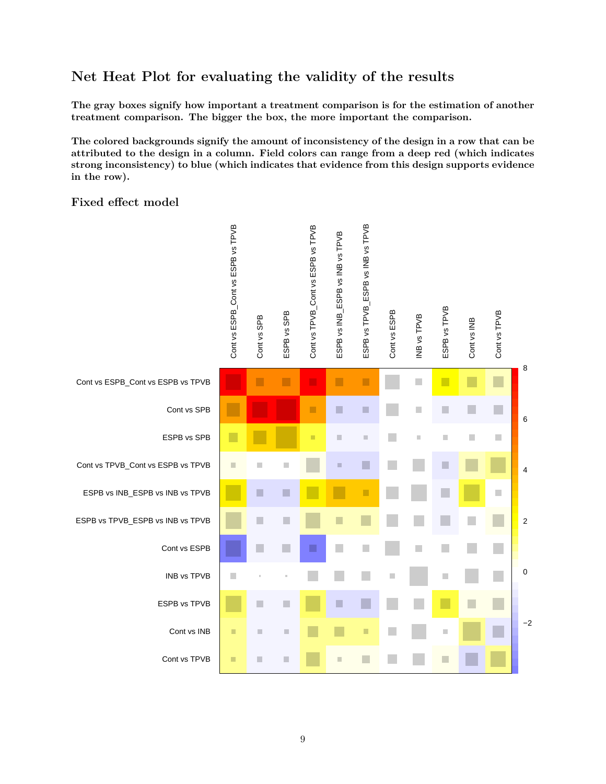## **Net Heat Plot for evaluating the validity of the results**

**The gray boxes signify how important a treatment comparison is for the estimation of another treatment comparison. The bigger the box, the more important the comparison.**

**The colored backgrounds signify the amount of inconsistency of the design in a row that can be attributed to the design in a column. Field colors can range from a deep red (which indicates strong inconsistency) to blue (which indicates that evidence from this design supports evidence in the row).**

#### **Fixed effect model**

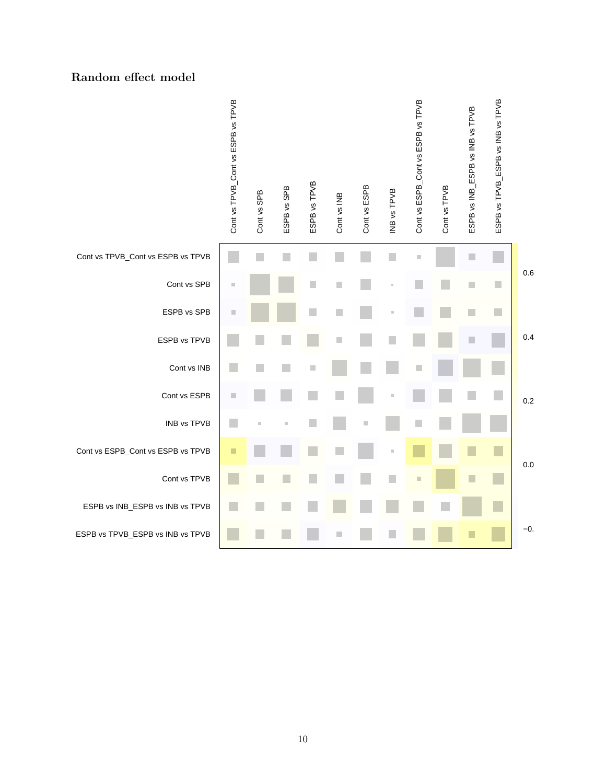#### **Random effect model**

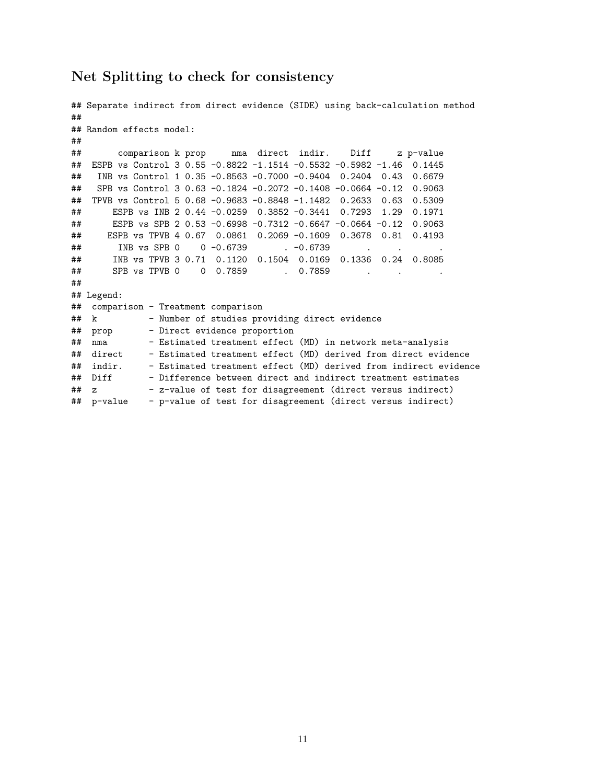## **Net Splitting to check for consistency**

```
## Separate indirect from direct evidence (SIDE) using back-calculation method
##
## Random effects model:
##
## comparison k prop nma direct indir. Diff z p-value
## ESPB vs Control 3 0.55 -0.8822 -1.1514 -0.5532 -0.5982 -1.46 0.1445
## INB vs Control 1 0.35 -0.8563 -0.7000 -0.9404 0.2404 0.43 0.6679
## SPB vs Control 3 0.63 -0.1824 -0.2072 -0.1408 -0.0664 -0.12 0.9063
## TPVB vs Control 5 0.68 -0.9683 -0.8848 -1.1482 0.2633 0.63 0.5309
## ESPB vs INB 2 0.44 -0.0259 0.3852 -0.3441 0.7293 1.29 0.1971
## ESPB vs SPB 2 0.53 -0.6998 -0.7312 -0.6647 -0.0664 -0.12 0.9063
## ESPB vs TPVB 4 0.67 0.0861 0.2069 -0.1609 0.3678 0.81 0.4193
## INB vs SPB 0 0 -0.6739 . -0.6739 .
## INB vs TPVB 3 0.71 0.1120 0.1504 0.0169 0.1336 0.24 0.8085
## SPB vs TPVB 0 0 0.7859 . 0.7859 . . . . . . . .
##
## Legend:
## comparison - Treatment comparison
## k - Number of studies providing direct evidence
## prop - Direct evidence proportion
## nma - Estimated treatment effect (MD) in network meta-analysis<br>## direct - Estimated treatment effect (MD) derived from direct evide
             - Estimated treatment effect (MD) derived from direct evidence
## indir. - Estimated treatment effect (MD) derived from indirect evidence
## Diff - Difference between direct and indirect treatment estimates
## z - z-value of test for disagreement (direct versus indirect)
## p-value - p-value of test for disagreement (direct versus indirect)
```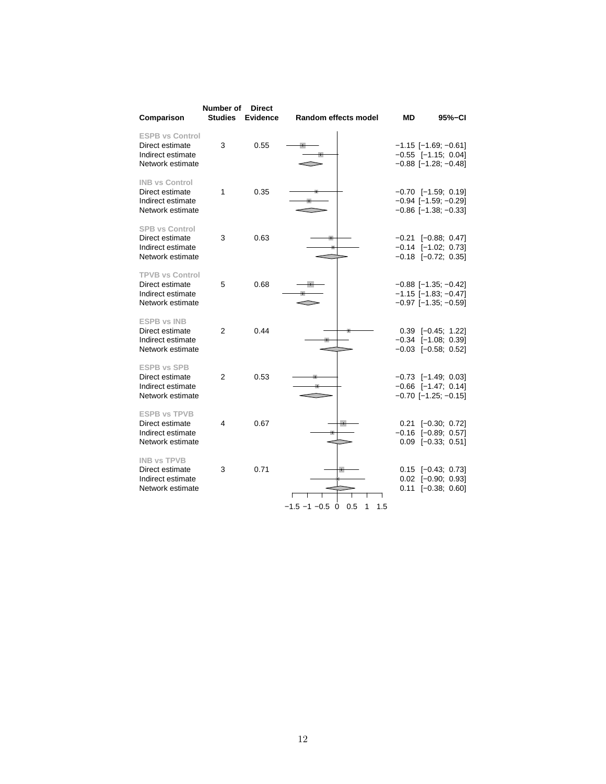| Comparison                                                                         | Number of<br><b>Studies</b> | <b>Direct</b><br><b>Evidence</b> | Random effects model               | ΜD | 95%-CI                                                                                          |
|------------------------------------------------------------------------------------|-----------------------------|----------------------------------|------------------------------------|----|-------------------------------------------------------------------------------------------------|
| <b>ESPB vs Control</b><br>Direct estimate<br>Indirect estimate<br>Network estimate | 3                           | 0.55                             |                                    |    | $-1.15$ [-1.69; -0.61]<br>$-0.55$ [-1.15; 0.04]<br>$-0.88$ [ $-1.28$ ; $-0.48$ ]                |
| <b>INB vs Control</b><br>Direct estimate<br>Indirect estimate<br>Network estimate  | 1                           | 0.35                             |                                    |    | $-0.70$ [-1.59; 0.19]<br>$-0.94$ [ $-1.59$ ; $-0.29$ ]<br>$-0.86$ [ $-1.38$ ; $-0.33$ ]         |
| <b>SPB vs Control</b><br>Direct estimate<br>Indirect estimate<br>Network estimate  | 3                           | 0.63                             |                                    |    | $-0.21$ [ $-0.88$ ; 0.47]<br>$-0.14$ $[-1.02; 0.73]$<br>$-0.18$ $[-0.72; 0.35]$                 |
| <b>TPVB vs Control</b><br>Direct estimate<br>Indirect estimate<br>Network estimate | 5                           | 0.68                             |                                    |    | $-0.88$ [ $-1.35$ ; $-0.42$ ]<br>$-1.15$ [ $-1.83$ ; $-0.47$ ]<br>$-0.97$ [ $-1.35$ ; $-0.59$ ] |
| <b>ESPB vs INB</b><br>Direct estimate<br>Indirect estimate<br>Network estimate     | $\overline{2}$              | 0.44                             |                                    |    | $0.39$ $[-0.45; 1.22]$<br>$-0.34$ $[-1.08; 0.39]$<br>$-0.03$ $[-0.58; 0.52]$                    |
| <b>ESPB vs SPB</b><br>Direct estimate<br>Indirect estimate<br>Network estimate     | $\overline{2}$              | 0.53                             |                                    |    | $-0.73$ [-1.49; 0.03]<br>$-0.66$ [-1.47; 0.14]<br>$-0.70$ [ $-1.25$ ; $-0.15$ ]                 |
| <b>ESPB vs TPVB</b><br>Direct estimate<br>Indirect estimate<br>Network estimate    | 4                           | 0.67                             |                                    |    | $0.21$ [-0.30; 0.72]<br>$-0.16$ $[-0.89; 0.57]$<br>$0.09$ [-0.33; 0.51]                         |
| <b>INB vs TPVB</b><br>Direct estimate<br>Indirect estimate<br>Network estimate     | 3                           | 0.71                             | $-1.5 - 1 - 0.5$ 0 0.5<br>1<br>1.5 |    | $0.15$ [-0.43; 0.73]<br>$0.02$ $[-0.90; 0.93]$<br>$0.11$ [-0.38; 0.60]                          |